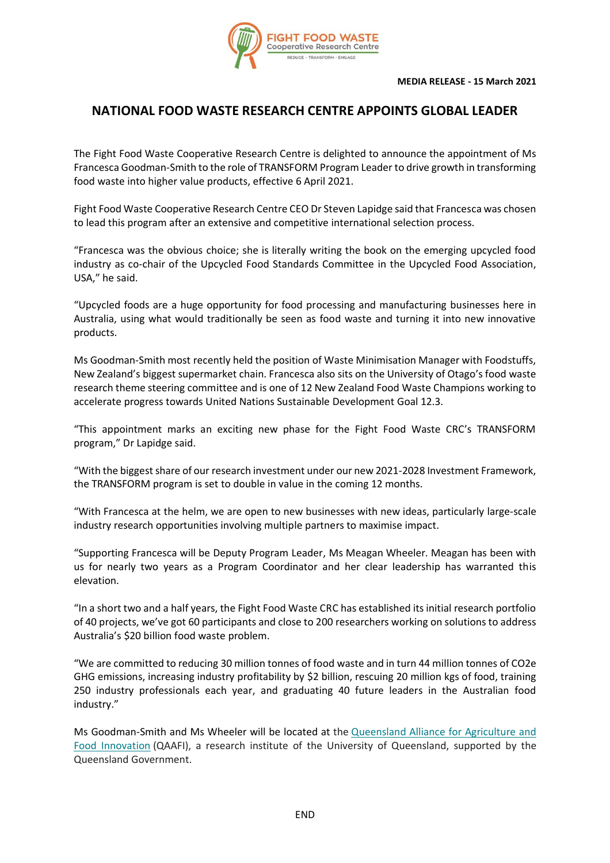

## **NATIONAL FOOD WASTE RESEARCH CENTRE APPOINTS GLOBAL LEADER**

The Fight Food Waste Cooperative Research Centre is delighted to announce the appointment of Ms Francesca Goodman-Smith to the role of TRANSFORM Program Leader to drive growth in transforming food waste into higher value products, effective 6 April 2021.

Fight Food Waste Cooperative Research Centre CEO Dr Steven Lapidge said that Francesca was chosen to lead this program after an extensive and competitive international selection process.

"Francesca was the obvious choice; she is literally writing the book on the emerging upcycled food industry as co-chair of the Upcycled Food Standards Committee in the Upcycled Food Association, USA," he said.

"Upcycled foods are a huge opportunity for food processing and manufacturing businesses here in Australia, using what would traditionally be seen as food waste and turning it into new innovative products.

Ms Goodman-Smith most recently held the position of Waste Minimisation Manager with Foodstuffs, New Zealand's biggest supermarket chain. Francesca also sits on the University of Otago's food waste research theme steering committee and is one of 12 New Zealand Food Waste Champions working to accelerate progress towards United Nations Sustainable Development Goal 12.3.

"This appointment marks an exciting new phase for the Fight Food Waste CRC's TRANSFORM program," Dr Lapidge said.

"With the biggest share of our research investment under our new 2021-2028 Investment Framework, the TRANSFORM program is set to double in value in the coming 12 months.

"With Francesca at the helm, we are open to new businesses with new ideas, particularly large-scale industry research opportunities involving multiple partners to maximise impact.

"Supporting Francesca will be Deputy Program Leader, Ms Meagan Wheeler. Meagan has been with us for nearly two years as a Program Coordinator and her clear leadership has warranted this elevation.

"In a short two and a half years, the Fight Food Waste CRC has established its initial research portfolio of 40 projects, we've got 60 participants and close to 200 researchers working on solutions to address Australia's \$20 billion food waste problem.

"We are committed to reducing 30 million tonnes of food waste and in turn 44 million tonnes of CO2e GHG emissions, increasing industry profitability by \$2 billion, rescuing 20 million kgs of food, training 250 industry professionals each year, and graduating 40 future leaders in the Australian food industry."

Ms Goodman-Smith and Ms Wheeler will be located at the [Queensland Alliance for Agriculture and](https://fightfoodwastecrc.us20.list-manage.com/track/click?u=067b4f12f47d82984cbe6a51b&id=cab9d4c3e6&e=3c021f08d5)  [Food Innovation](https://fightfoodwastecrc.us20.list-manage.com/track/click?u=067b4f12f47d82984cbe6a51b&id=cab9d4c3e6&e=3c021f08d5) (QAAFI), a research institute of the University of Queensland, supported by the Queensland Government.